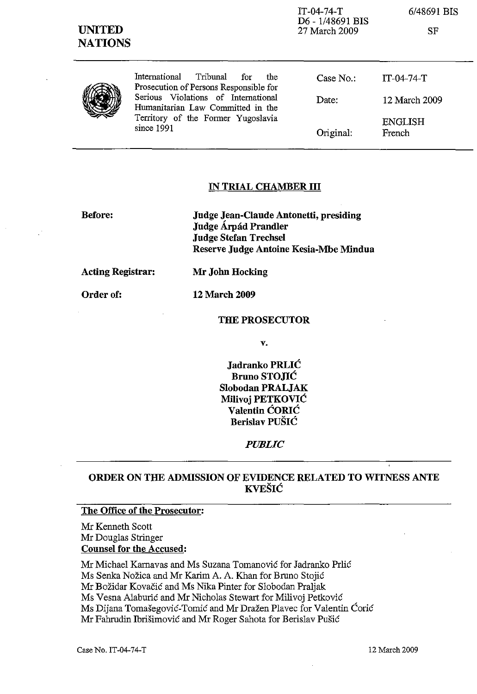| <b>UNITED</b><br><b>NATIONS</b> |                                                                                                                              | 11-04-74-1<br>D6 - 1/48691 BIS<br>27 March 2009 | 0/48071 BIS<br><b>SF</b> |
|---------------------------------|------------------------------------------------------------------------------------------------------------------------------|-------------------------------------------------|--------------------------|
|                                 | International<br>Tribunal<br>the<br>for<br>Prosecution of Persons Responsible for                                            | Case No.:                                       | $IT-04-74-T$             |
|                                 | Serious Violations of International<br>Humanitarian Law Committed in the<br>Territory of the Former Yugoslavia<br>since 1991 | Date:                                           | 12 March 2009            |
|                                 |                                                                                                                              | Original:                                       | <b>ENGLISH</b><br>French |

 $IPA, 74, T$ 

 $6/49601$  DIG

### IN TRIAL CHAMBER III

Before: Judge Jean-Claude Antonetti, presiding Judge Árpád Prandler Judge Stefan Trechsel Reserve Judge Antoine Kesia-Mbe Mindua

Acting Registrar: Mr John Hocking

Order of: 12 March 2009

#### THE PROSECUTOR

v.

Jadranko PRLIC Bruno STOJIC Slobodan PRALJAK MiIivoj PETKOVIC Valentin CORIC Berislav PUSIC

*PUBLIC* 

## ORDER ON THE ADMISSION OF EVIDENCE RELATED TO WITNESS ANTE KVESIC

#### The Office of the Prosecutor:

Mr Kenneth Scott Mr Douglas Stringer Counsel for the Accused:

Mr Michael Karnavas and Ms Suzana Tomanović for Jadranko Prlić Ms Senka Nozica and Mr Karim A. A. Khan for Bruno Stojic Mr Bozidar Kovacic and Ms Nika Pinter for Slobodan Praljak Ms Vesna Alaburic and Mr Nicholas Stewart for Milivoj Petkovic Ms Dijana Tomašegović-Tomić and Mr Dražen Plavec for Valentin Čorić Mr Fahrudin Ibrisimovic and Mr Roger Sahota for Berislav Pusic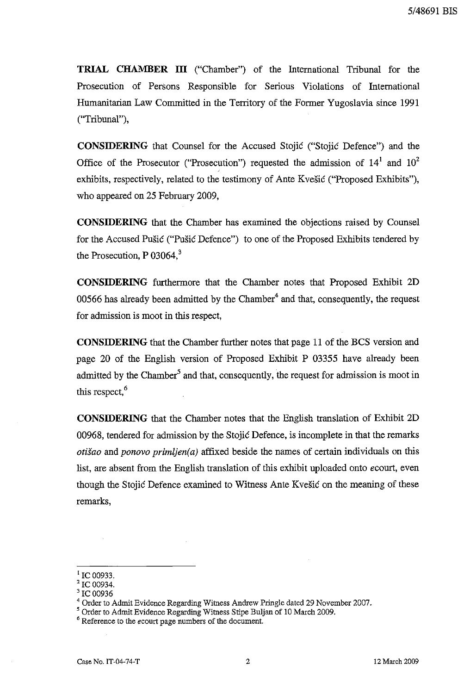**TRIAL CHAMBER ITI** ("Chamber") of the International Tribunal for the Prosecution of Persons Responsible for Serious Violations of International Humanitarian Law Committed in the Territory of the Former Yugoslavia since 1991 ("Tribunal"),

**CONSIDERING** that Counsel for the Accused Stojic ("Stojic Defence") and the Office of the Prosecutor ("Prosecution") requested the admission of  $14<sup>1</sup>$  and  $10<sup>2</sup>$ exhibits, respectively, related to the testimony of Ante Kvesic ("Proposed Exhibits"), who appeared on 25 February 2009,

**CONSIDERING** that the Chamber has examined the objections raised by Counsel for the Accused Pusic ("Pusic Defence") to one of the Proposed Exhibits tendered by the Prosecution, P  $03064$ <sup>3</sup>

**CONSIDERING** furthermore that the Chamber notes that Proposed Exhibit 2D 00566 has already been admitted by the Chamber<sup>4</sup> and that, consequently, the request for admission is moot in this respect,

**CONSIDERING** that the Chamber further notes that page 11 of the BCS version and page 20 of the English version of Proposed Exhibit P 03355 have already been admitted by the Chamber<sup>5</sup> and that, consequently, the request for admission is moot in this respect, $<sup>6</sup>$ </sup>

**CONSIDERING** that the Chamber notes that the English translation of Exhibit 2D 00968, tendered for admission by the Stojic Defence, is incomplete in that the remarks *otisao* and *ponovo primljen( a)* affixed beside the names of certain individuals on this list, are absent from the English translation of this exhibit uploaded onto *ecourt,* even though the Stojic Defence examined to Witness Ante Kvesic on the meaning of these remarks,

 $1$  IC 00933.

<sup>&</sup>lt;sup>2</sup> IC 00934.

 $3$  IC 00936

<sup>&</sup>lt;sup>4</sup> Order to Admit Evidence Regarding Witness Andrew Pringle dated 29 November 2007.

<sup>5</sup> Order to Admit Evidence Regarding Witness Stipe Buljan of 10 March 2009.

<sup>&</sup>lt;sup>6</sup> Reference to the ecourt page numbers of the document.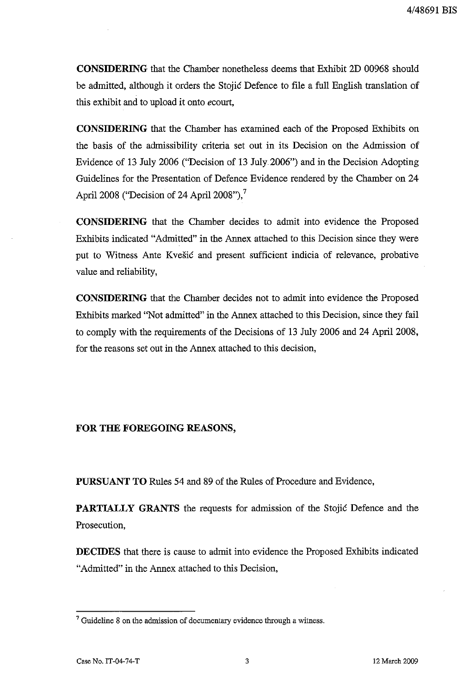**CONSIDERING** that the Chamber nonetheless deems that Exhibit 2D 00968 should be admitted, although it orders the Stojic Defence to file a full English translation of this exhibit and to upload it onto *ecourt,* 

**CONSIDERING** that the Chamber has examined each of the Proposed Exhibits on the basis of the admissibility criteria set out in its Decision on the Admission of Evidence of 13 July 2006 ("Decision of 13 July 2006") and in the Decision Adopting Guidelines for the Presentation of Defence Evidence rendered by the Chamber on 24 April 2008 ("Decision of 24 April 2008"), $^7$ 

**CONSIDERING** that the Chamber decides to admit into evidence the Proposed Exhibits indicated "Admitted" in the Annex attached to this Decision since they were put to Witness Ante Kvesic and present sufficient indicia of relevance, probative value and reliability,

**CONSIDERING** that the Chamber decides not to admit into evidence the Proposed Exhibits marked "Not admitted" in the Annex attached to this Decision, since they fail to comply with the requirements of the Decisions of 13 July 2006 and 24 April 2008, for the reasons set out in the Annex attached to this decision,

#### **FOR THE FOREGOING REASONS,**

**PURSUANT TO** Rules 54 and 89 of the Rules of Procedure and Evidence,

**PARTIALLY GRANTS** the requests for admission of the Stojic Defence and the Prosecution,

**DECIDES** that there is cause to admit into evidence the Proposed Exhibits indicated "Admitted" in the Annex attached to this Decision,

 $7$  Guideline 8 on the admission of documentary evidence through a witness.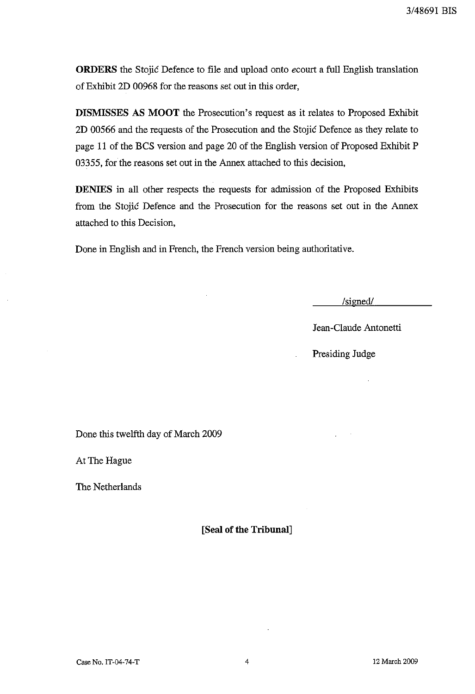**ORDERS** the Stojic Defence to file and upload onto *ecourt* a full English translation of Exhibit 2D 00968 for the reasons set out in this order,

**DISMISSES AS MOOT** the Prosecution's request as it relates to Proposed Exhibit 2D 00566 and the requests of the Prosecution and the Stojic Defence as they relate to page 11 of the BCS version and page 20 of the English version of Proposed Exhibit P 03355, forthe reasons set out in the Annex attached to this decision,

**DENIES** in all other respects the requests for admission of the Proposed Exhibits from the Stojic Defence and the Prosecution for the reasons set out in the Annex attached to this Decision,

Done in English and in French, the French version being authoritative.

/signed/

Jean-Claude Antonetti

Presiding Judge

Done this twelfth day of March 2009

At The Hague

The Netherlands

**[Seal of the Tribunal]**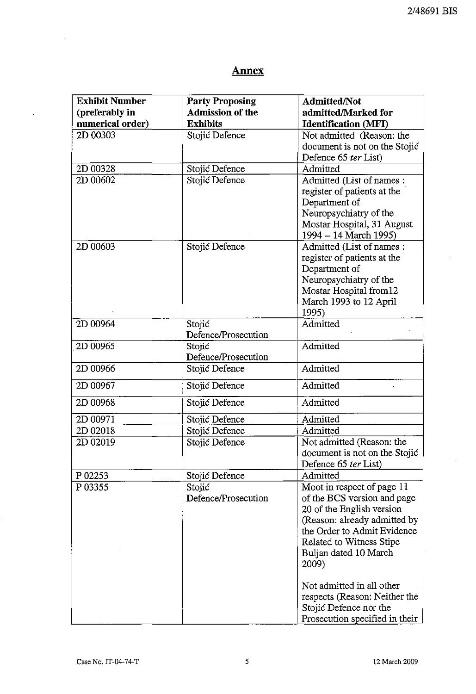# **Annex**

| <b>Exhibit Number</b> | <b>Party Proposing</b>  | <b>Admitted/Not</b>            |
|-----------------------|-------------------------|--------------------------------|
| (preferably in        | <b>Admission of the</b> | admitted/Marked for            |
| numerical order)      | <b>Exhibits</b>         | <b>Identification (MFI)</b>    |
| 2D 00303              | Stojić Defence          | Not admitted (Reason: the      |
|                       |                         | document is not on the Stojić  |
|                       |                         | Defence 65 ter List)           |
| 2D 00328              | Stojić Defence          | Admitted                       |
| 2D 00602              | Stojić Defence          | Admitted (List of names:       |
|                       |                         | register of patients at the    |
|                       |                         | Department of                  |
|                       |                         | Neuropsychiatry of the         |
|                       |                         | Mostar Hospital, 31 August     |
|                       |                         | 1994 - 14 March 1995)          |
| 2D 00603              | Stojić Defence          | Admitted (List of names:       |
|                       |                         | register of patients at the    |
|                       |                         | Department of                  |
|                       |                         | Neuropsychiatry of the         |
|                       |                         | Mostar Hospital from12         |
|                       |                         | March 1993 to 12 April         |
|                       |                         | 1995)                          |
| 2D 00964              | Stojić                  | Admitted                       |
|                       | Defence/Prosecution     |                                |
| 2D 00965              | Stojić                  | Admitted                       |
|                       | Defence/Prosecution     |                                |
| 2D 00966              | Stojić Defence          | Admitted                       |
| 2D 00967              | Stojić Defence          | Admitted                       |
| 2D 00968              | Stojić Defence          | Admitted                       |
| 2D 00971              | Stojić Defence          | Admitted                       |
| 2D 02018              | Stojić Defence          | Admitted                       |
| 2D 02019              | Stojić Defence          | Not admitted (Reason: the      |
|                       |                         | document is not on the Stojić  |
|                       |                         | Defence 65 ter List)           |
| P 02253               | Stojić Defence          | Admitted                       |
| P 03355               | Stojić                  | Moot in respect of page 11     |
|                       | Defence/Prosecution     | of the BCS version and page    |
|                       |                         | 20 of the English version      |
|                       |                         | (Reason: already admitted by   |
|                       |                         | the Order to Admit Evidence    |
|                       |                         | Related to Witness Stipe       |
|                       |                         | Buljan dated 10 March          |
|                       |                         | 2009)                          |
|                       |                         |                                |
|                       |                         | Not admitted in all other      |
|                       |                         | respects (Reason: Neither the  |
|                       |                         | Stojić Defence nor the         |
|                       |                         | Prosecution specified in their |